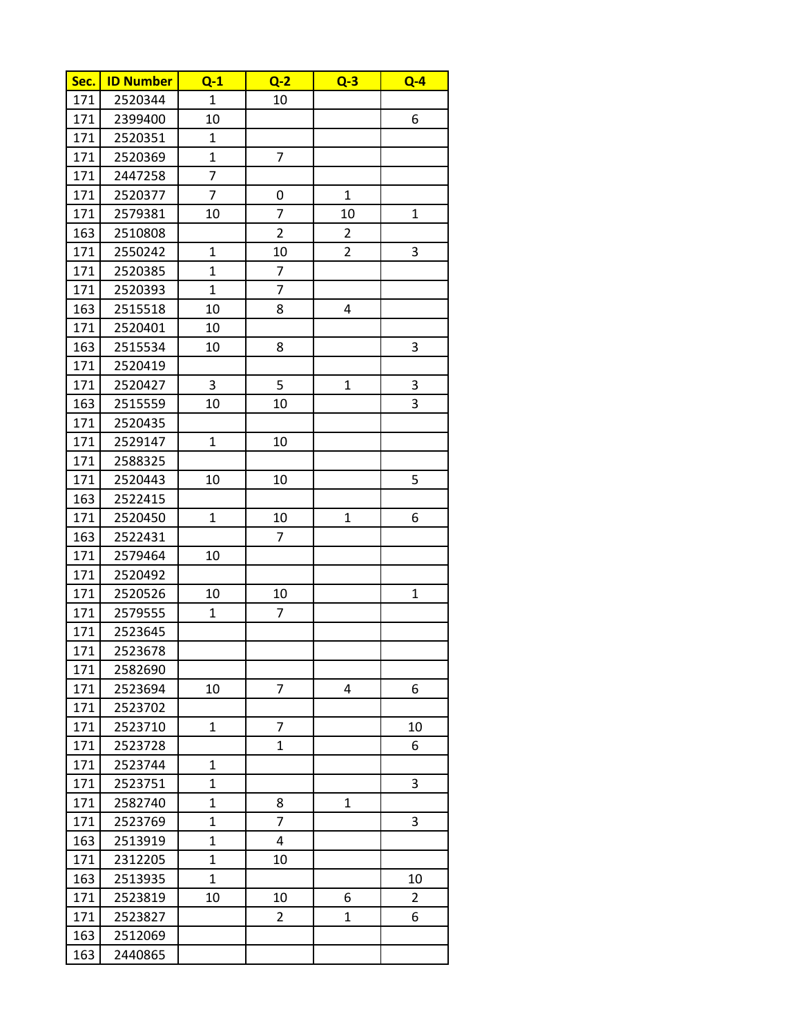| Sec. | <b>ID Number</b> | $Q-1$        | $Q-2$                   | $Q-3$          | $Q - 4$        |
|------|------------------|--------------|-------------------------|----------------|----------------|
| 171  | 2520344          | $\mathbf{1}$ | 10                      |                |                |
| 171  | 2399400          | 10           |                         |                | 6              |
| 171  | 2520351          | 1            |                         |                |                |
| 171  | 2520369          | $\mathbf 1$  | $\overline{7}$          |                |                |
| 171  | 2447258          | 7            |                         |                |                |
| 171  | 2520377          | 7            | 0                       | $\mathbf{1}$   |                |
| 171  | 2579381          | 10           | $\overline{7}$          | 10             | $\mathbf{1}$   |
| 163  | 2510808          |              | $\overline{2}$          | $\overline{2}$ |                |
| 171  | 2550242          | $\mathbf 1$  | 10                      | $\overline{2}$ | 3              |
| 171  | 2520385          | $\mathbf{1}$ | $\overline{7}$          |                |                |
| 171  | 2520393          | 1            | 7                       |                |                |
| 163  | 2515518          | 10           | 8                       | 4              |                |
| 171  | 2520401          | 10           |                         |                |                |
| 163  | 2515534          | 10           | 8                       |                | 3              |
| 171  | 2520419          |              |                         |                |                |
| 171  | 2520427          | 3            | 5                       | $\mathbf 1$    | 3              |
| 163  | 2515559          | 10           | 10                      |                | 3              |
| 171  | 2520435          |              |                         |                |                |
| 171  | 2529147          | $\mathbf 1$  | 10                      |                |                |
| 171  | 2588325          |              |                         |                |                |
| 171  | 2520443          | 10           | 10                      |                | 5              |
| 163  | 2522415          |              |                         |                |                |
| 171  | 2520450          | $\mathbf 1$  | 10                      | $\mathbf 1$    | 6              |
| 163  | 2522431          |              | 7                       |                |                |
| 171  | 2579464          | 10           |                         |                |                |
| 171  | 2520492          |              |                         |                |                |
| 171  | 2520526          | 10           | 10                      |                | $\mathbf 1$    |
| 171  | 2579555          | $\mathbf 1$  | $\overline{7}$          |                |                |
| 171  | 2523645          |              |                         |                |                |
| 171  | 2523678          |              |                         |                |                |
| 171  | 2582690          |              |                         |                |                |
| 171  | 2523694          | 10           | $\overline{7}$          | 4              | 6              |
| 171  | 2523702          |              |                         |                |                |
| 171  | 2523710          | $\mathbf 1$  | 7                       |                | 10             |
| 171  | 2523728          |              | $\mathbf{1}$            |                | 6              |
| 171  | 2523744          | 1            |                         |                |                |
| 171  | 2523751          | 1            |                         |                | 3              |
| 171  | 2582740          | $\mathbf{1}$ | 8                       | $\mathbf{1}$   |                |
| 171  | 2523769          | $\mathbf 1$  | $\overline{7}$          |                | 3              |
| 163  | 2513919          | $\mathbf 1$  | $\overline{\mathbf{4}}$ |                |                |
| 171  | 2312205          | $\mathbf 1$  | 10                      |                |                |
| 163  | 2513935          | $\mathbf 1$  |                         |                | 10             |
| 171  | 2523819          | 10           | 10                      | 6              | $\overline{2}$ |
| 171  | 2523827          |              | $\overline{2}$          | $\mathbf{1}$   | 6              |
| 163  | 2512069          |              |                         |                |                |
| 163  | 2440865          |              |                         |                |                |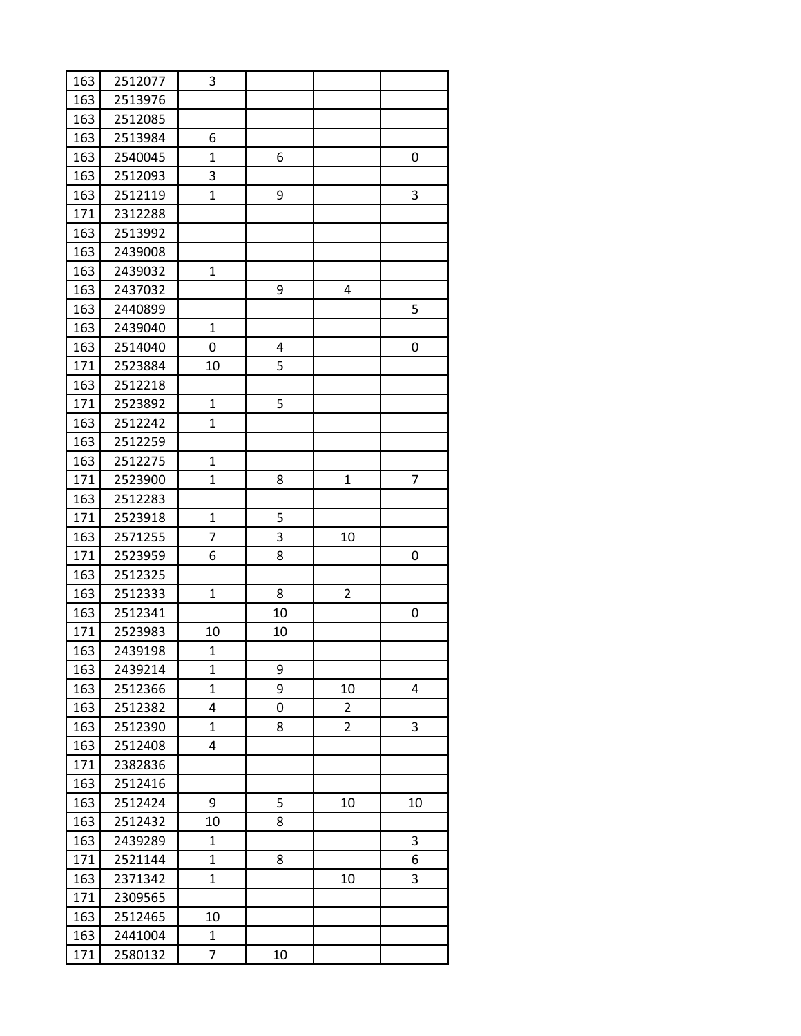| 163 | 2512077 | 3              |    |                |    |
|-----|---------|----------------|----|----------------|----|
| 163 | 2513976 |                |    |                |    |
| 163 | 2512085 |                |    |                |    |
| 163 | 2513984 | 6              |    |                |    |
| 163 | 2540045 | $\overline{1}$ | 6  |                | 0  |
| 163 | 2512093 | 3              |    |                |    |
| 163 | 2512119 | $\mathbf{1}$   | 9  |                | 3  |
| 171 | 2312288 |                |    |                |    |
| 163 | 2513992 |                |    |                |    |
| 163 | 2439008 |                |    |                |    |
| 163 | 2439032 | $\mathbf{1}$   |    |                |    |
| 163 | 2437032 |                | 9  | 4              |    |
| 163 | 2440899 |                |    |                | 5  |
| 163 | 2439040 | $\mathbf{1}$   |    |                |    |
| 163 | 2514040 | 0              | 4  |                | 0  |
| 171 | 2523884 | 10             | 5  |                |    |
| 163 | 2512218 |                |    |                |    |
| 171 | 2523892 | $\mathbf{1}$   | 5  |                |    |
| 163 | 2512242 | $\mathbf{1}$   |    |                |    |
| 163 | 2512259 |                |    |                |    |
| 163 | 2512275 | $\mathbf{1}$   |    |                |    |
| 171 | 2523900 | $\mathbf{1}$   | 8  | 1              | 7  |
| 163 | 2512283 |                |    |                |    |
| 171 | 2523918 | $\mathbf{1}$   | 5  |                |    |
| 163 | 2571255 | 7              | 3  | 10             |    |
| 171 | 2523959 | 6              | 8  |                | 0  |
| 163 | 2512325 |                |    |                |    |
| 163 | 2512333 | $\mathbf{1}$   | 8  | 2              |    |
| 163 | 2512341 |                | 10 |                | 0  |
| 171 | 2523983 | 10             | 10 |                |    |
| 163 | 2439198 | $\mathbf{1}$   |    |                |    |
| 163 | 2439214 | 1              | 9  |                |    |
| 163 | 2512366 | $\mathbf{1}$   | 9  | 10             | 4  |
| 163 | 2512382 | 4              | 0  | $\overline{2}$ |    |
| 163 | 2512390 | $\mathbf{1}$   | 8  | $\overline{2}$ | 3  |
| 163 | 2512408 | 4              |    |                |    |
| 171 | 2382836 |                |    |                |    |
| 163 | 2512416 |                |    |                |    |
| 163 | 2512424 | 9              | 5  | 10             | 10 |
| 163 | 2512432 | 10             | 8  |                |    |
| 163 | 2439289 | $\mathbf{1}$   |    |                | 3  |
| 171 | 2521144 | 1              | 8  |                | 6  |
| 163 | 2371342 | $\mathbf{1}$   |    | 10             | 3  |
| 171 | 2309565 |                |    |                |    |
| 163 | 2512465 | 10             |    |                |    |
| 163 | 2441004 | $\mathbf{1}$   |    |                |    |
| 171 | 2580132 | 7              | 10 |                |    |